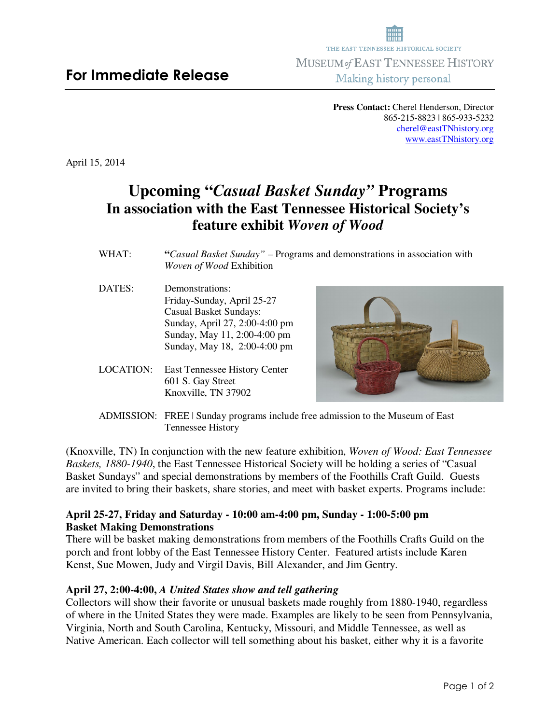**Press Contact:** Cherel Henderson, Director 865-215-8823 | 865-933-5232 cherel@eastTNhistory.org www.eastTNhistory.org

April 15, 2014

# **Upcoming "***Casual Basket Sunday"* **Programs In association with the East Tennessee Historical Society's feature exhibit** *Woven of Wood*

- WHAT: "*Casual Basket Sunday*" Programs and demonstrations in association with *Woven of Wood* Exhibition
- DATES: Demonstrations: Friday-Sunday, April 25-27 Casual Basket Sundays: Sunday, April 27, 2:00-4:00 pm Sunday, May 11, 2:00-4:00 pm Sunday, May 18, 2:00-4:00 pm
- LOCATION: East Tennessee History Center 601 S. Gay Street Knoxville, TN 37902



ADMISSION: FREE | Sunday programs include free admission to the Museum of East Tennessee History

(Knoxville, TN) In conjunction with the new feature exhibition, *Woven of Wood: East Tennessee Baskets, 1880-1940*, the East Tennessee Historical Society will be holding a series of "Casual Basket Sundays" and special demonstrations by members of the Foothills Craft Guild. Guests are invited to bring their baskets, share stories, and meet with basket experts. Programs include:

# **April 25-27, Friday and Saturday - 10:00 am-4:00 pm, Sunday - 1:00-5:00 pm Basket Making Demonstrations**

There will be basket making demonstrations from members of the Foothills Crafts Guild on the porch and front lobby of the East Tennessee History Center. Featured artists include Karen Kenst, Sue Mowen, Judy and Virgil Davis, Bill Alexander, and Jim Gentry.

# **April 27, 2:00-4:00,** *A United States show and tell gathering*

Collectors will show their favorite or unusual baskets made roughly from 1880-1940, regardless of where in the United States they were made. Examples are likely to be seen from Pennsylvania, Virginia, North and South Carolina, Kentucky, Missouri, and Middle Tennessee, as well as Native American. Each collector will tell something about his basket, either why it is a favorite